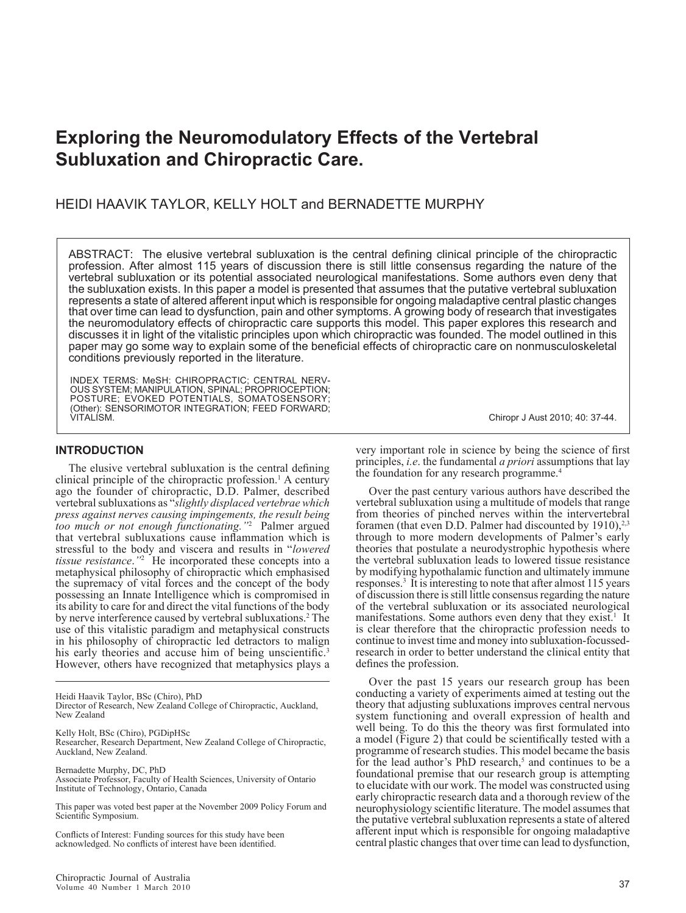# **Exploring the Neuromodulatory Effects of the Vertebral Subluxation and Chiropractic Care.**

## HEIDI HAAVIK TAYLOR, KELLY HOLT and BERNADETTE MURPHY

Abstract: The elusive vertebral subluxation is the central defining clinical principle of the chiropractic profession. After almost 115 years of discussion there is still little consensus regarding the nature of the vertebral subluxation or its potential associated neurological manifestations. Some authors even deny that the subluxation exists. In this paper a model is presented that assumes that the putative vertebral subluxation represents a state of altered afferent input which is responsible for ongoing maladaptive central plastic changes that over time can lead to dysfunction, pain and other symptoms. A growing body of research that investigates the neuromodulatory effects of chiropractic care supports this model. This paper explores this research and discusses it in light of the vitalistic principles upon which chiropractic was founded. The model outlined in this paper may go some way to explain some of the beneficial effects of chiropractic care on nonmusculoskeletal conditions previously reported in the literature.

INDEX TERMS: MeSH: CHIROPRACTIC; CENTRAL NERV-OUS SYSTEM; MANIPULATION, SPINAL; PROPRIOCEPTION; POSTURE; EVOKED POTENTIALS, SOMATOSENSORY; (Other): SENSORIMOTOR INTEGRATION; FEED FORWARD; VITALISM. Chiropr J Aust 2010; 40: 37-44.

**INTRODUCTION**

The elusive vertebral subluxation is the central defining clinical principle of the chiropractic profession.<sup>1</sup> A century ago the founder of chiropractic, D.D. Palmer, described vertebral subluxations as "*slightly displaced vertebrae which press against nerves causing impingements, the result being too much or not enough functionating."*<sup>2</sup> Palmer argued that vertebral subluxations cause inflammation which is stressful to the body and viscera and results in "*lowered tissue resistance*.*"*<sup>2</sup> He incorporated these concepts into a metaphysical philosophy of chiropractic which emphasised the supremacy of vital forces and the concept of the body possessing an Innate Intelligence which is compromised in its ability to care for and direct the vital functions of the body by nerve interference caused by vertebral subluxations.<sup>2</sup> The use of this vitalistic paradigm and metaphysical constructs in his philosophy of chiropractic led detractors to malign his early theories and accuse him of being unscientific.<sup>3</sup> However, others have recognized that metaphysics plays a

Kelly Holt, BSc (Chiro), PGDipHSc

Researcher, Research Department, New Zealand College of Chiropractic, Auckland, New Zealand.

Bernadette Murphy, DC, PhD Associate Professor, Faculty of Health Sciences, University of Ontario Institute of Technology, Ontario, Canada

This paper was voted best paper at the November 2009 Policy Forum and Scientific Symposium.

Conflicts of Interest: Funding sources for this study have been acknowledged. No conflicts of interest have been identified.

very important role in science by being the science of first principles, *i.e*. the fundamental *a priori* assumptions that lay the foundation for any research programme.<sup>4</sup>

Over the past century various authors have described the vertebral subluxation using a multitude of models that range from theories of pinched nerves within the intervertebral foramen (that even D.D. Palmer had discounted by  $1910$ ),<sup>2,3</sup> through to more modern developments of Palmer's early theories that postulate a neurodystrophic hypothesis where the vertebral subluxation leads to lowered tissue resistance by modifying hypothalamic function and ultimately immune responses.<sup>3</sup> It is interesting to note that after almost 115 years of discussion there is still little consensus regarding the nature of the vertebral subluxation or its associated neurological manifestations. Some authors even deny that they exist.<sup>1</sup> It is clear therefore that the chiropractic profession needs to continue to invest time and money into subluxation-focussedresearch in order to better understand the clinical entity that defines the profession.

Over the past 15 years our research group has been conducting a variety of experiments aimed at testing out the theory that adjusting subluxations improves central nervous system functioning and overall expression of health and well being. To do this the theory was first formulated into a model (Figure 2) that could be scientifically tested with a programme of research studies. This model became the basis for the lead author's PhD research,<sup>5</sup> and continues to be a foundational premise that our research group is attempting to elucidate with our work. The model was constructed using early chiropractic research data and a thorough review of the neurophysiology scientific literature. The model assumes that the putative vertebral subluxation represents a state of altered afferent input which is responsible for ongoing maladaptive central plastic changes that over time can lead to dysfunction,

Heidi Haavik Taylor, BSc (Chiro), PhD Director of Research, New Zealand College of Chiropractic, Auckland, New Zealand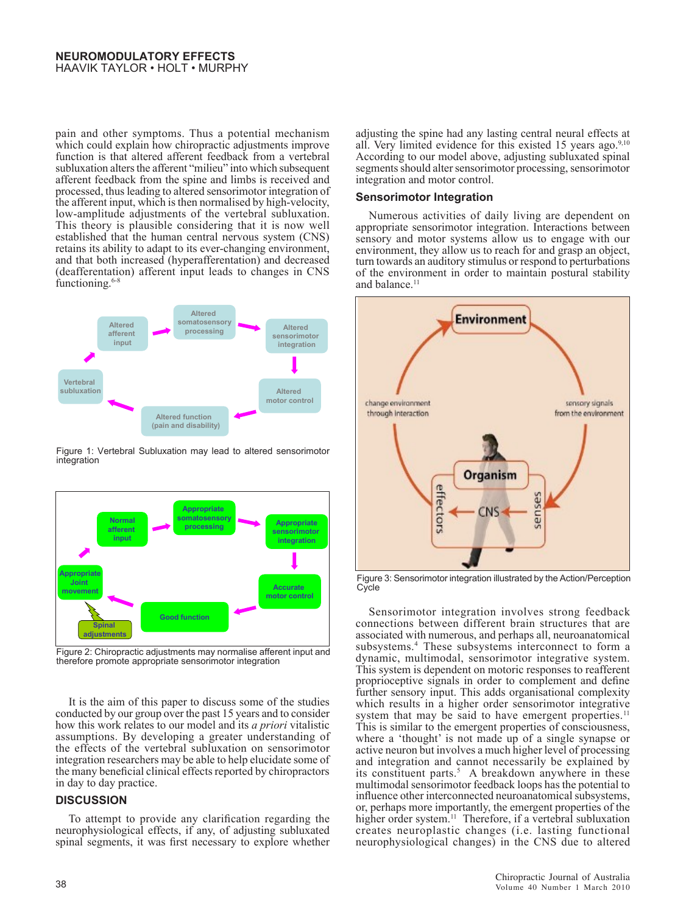### **NEUROMODULAtoRY EFFECTS** HAAVIK TAYLOR • HOLT • MURPHY

pain and other symptoms. Thus a potential mechanism which could explain how chiropractic adjustments improve function is that altered afferent feedback from a vertebral subluxation alters the afferent "milieu" into which subsequent afferent feedback from the spine and limbs is received and processed, thus leading to altered sensorimotor integration of the afferent input, which is then normalised by high-velocity, low-amplitude adjustments of the vertebral subluxation. This theory is plausible considering that it is now well established that the human central nervous system (CNS) retains its ability to adapt to its ever-changing environment, environment and that both increased (hyperafferentation) and decreased (deafferentation) afferent input leads to changes in CNS functioning.<sup>6-8</sup>



Figure 1: Vertebral Subluxation may lead to altered sensorimotor integration



Figure 2: Chiropractic adjustments may normalise afferent input and therefore promote appropriate sensorimotor integration

It is the aim of this paper to discuss some of the studies conducted by our group over the past 15 years and to consider how this work relates to our model and its *a priori* vitalistic assumptions. By developing a greater understanding of the effects of the vertebral subluxation on sensorimotor integration researchers may be able to help elucidate some of the many beneficial clinical effects reported by chiropractors in day to day practice.

## **DISCUSSION**

To attempt to provide any clarification regarding the neurophysiological effects, if any, of adjusting subluxated spinal segments, it was first necessary to explore whether adjusting the spine had any lasting central neural effects at all. Very limited evidence for this existed 15 years ago. $9,10$ According to our model above, adjusting subluxated spinal segments should alter sensorimotor processing, sensorimotor integration and motor control.

### **Sensorimotor Integration**

Numerous activities of daily living are dependent on appropriate sensorimotor integration. Interactions between sensory and motor systems allow us to engage with our environment, they allow us to reach for and grasp an object, turn towards an auditory stimulus or respond to perturbations of the environment in order to maintain postural stability and balance.<sup>11</sup>



Figure 3: Sensorimotor integration illustrated by the Action/Perception **Cycle** 

Sensorimotor integration involves strong feedback connections between different brain structures that are associated with numerous, and perhaps all, neuroanatomical subsystems.4 These subsystems interconnect to form a dynamic, multimodal, sensorimotor integrative system. This system is dependent on motoric responses to reafferent proprioceptive signals in order to complement and define further sensory input. This adds organisational complexity which results in a higher order sensorimotor integrative system that may be said to have emergent properties.<sup>11</sup> This is similar to the emergent properties of consciousness, where a 'thought' is not made up of a single synapse or active neuron but involves a much higher level of processing and integration and cannot necessarily be explained by its constituent parts.<sup>5</sup> A breakdown anywhere in these multimodal sensorimotor feedback loops has the potential to influence other interconnected neuroanatomical subsystems, or, perhaps more importantly, the emergent properties of the higher order system.<sup>11</sup> Therefore, if a vertebral subluxation creates neuroplastic changes (i.e. lasting functional neurophysiological changes) in the CNS due to altered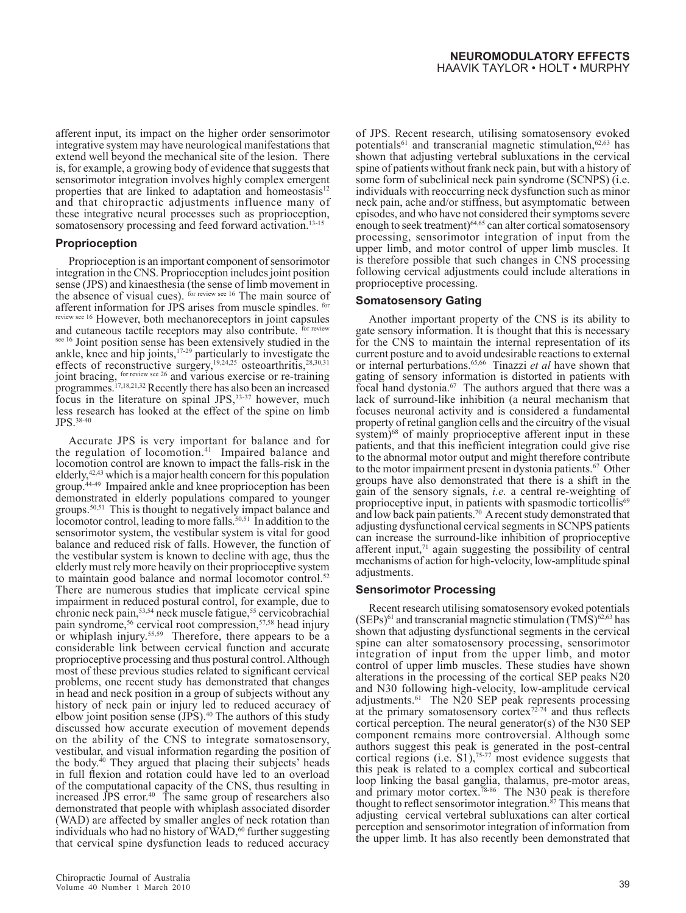afferent input, its impact on the higher order sensorimotor integrative system may have neurological manifestations that extend well beyond the mechanical site of the lesion. There is, for example, a growing body of evidence that suggests that sensorimotor integration involves highly complex emergent properties that are linked to adaptation and homeostasis $12$ and that chiropractic adjustments influence many of these integrative neural processes such as proprioception, somatosensory processing and feed forward activation.<sup>13-15</sup>

#### **Proprioception**

Proprioception is an important component of sensorimotor integration in the CNS. Proprioception includes joint position sense (JPS) and kinaesthesia (the sense of limb movement in the absence of visual cues). for review see 16 The main source of afferent information for JPS arises from muscle spindles. for review see 16 However, both mechanoreceptors in joint capsules and cutaneous tactile receptors may also contribute. for review see 16 Joint position sense has been extensively studied in the ankle, knee and hip joints,17-29 particularly to investigate the effects of reconstructive surgery,<sup>19,24,25</sup> osteoarthritis,<sup>28,30,31</sup> joint bracing, for review see 26 and various exercise or re-training programmes.17,18,21,32 Recently there has also been an increased focus in the literature on spinal JPS, 33-37 however, much less research has looked at the effect of the spine on limb JPS.38-40

Accurate JPS is very important for balance and for the regulation of locomotion.<sup>41</sup> Impaired balance and locomotion control are known to impact the falls-risk in the elderly,42,43 which is a major health concern for this population group.44-49 Impaired ankle and knee proprioception has been demonstrated in elderly populations compared to younger groups.50,51 This is thought to negatively impact balance and locomotor control, leading to more falls.<sup>50,51</sup> In addition to the sensorimotor system, the vestibular system is vital for good balance and reduced risk of falls. However, the function of the vestibular system is known to decline with age, thus the elderly must rely more heavily on their proprioceptive system to maintain good balance and normal locomotor control.<sup>52</sup> There are numerous studies that implicate cervical spine impairment in reduced postural control, for example, due to chronic neck pain,<sup>53,54</sup> neck muscle fatigue,<sup>55</sup> cervicobrachial pain syndrome,<sup>56</sup> cervical root compression,<sup>57,58</sup> head injury or whiplash injury.55,59 Therefore, there appears to be a considerable link between cervical function and accurate proprioceptive processing and thus postural control. Although most of these previous studies related to significant cervical problems, one recent study has demonstrated that changes in head and neck position in a group of subjects without any history of neck pain or injury led to reduced accuracy of elbow joint position sense (JPS).<sup>40</sup> The authors of this study discussed how accurate execution of movement depends on the ability of the CNS to integrate somatosensory, vestibular, and visual information regarding the position of the body.<sup>40</sup> They argued that placing their subjects' heads in full flexion and rotation could have led to an overload of the computational capacity of the CNS, thus resulting in increased JPS error.<sup>40</sup> The same group of researchers also demonstrated that people with whiplash associated disorder (WAD) are affected by smaller angles of neck rotation than individuals who had no history of  $\rm WAD$ ,<sup>60</sup> further suggesting that cervical spine dysfunction leads to reduced accuracy

of JPS. Recent research, utilising somatosensory evoked potentials<sup>61</sup> and transcranial magnetic stimulation,  $62,63$  has shown that adjusting vertebral subluxations in the cervical spine of patients without frank neck pain, but with a history of some form of subclinical neck pain syndrome (SCNPS) (i.e. individuals with reoccurring neck dysfunction such as minor neck pain, ache and/or stiffness, but asymptomatic between episodes, and who have not considered their symptoms severe enough to seek treatment)<sup>64,65</sup> can alter cortical somatosensory processing, sensorimotor integration of input from the upper limb, and motor control of upper limb muscles. It is therefore possible that such changes in CNS processing following cervical adjustments could include alterations in proprioceptive processing.

## **Somatosensory Gating**

Another important property of the CNS is its ability to gate sensory information. It is thought that this is necessary for the CNS to maintain the internal representation of its current posture and to avoid undesirable reactions to external or internal perturbations.65,66 Tinazzi *et al* have shown that gating of sensory information is distorted in patients with focal hand dystonia.67 The authors argued that there was a lack of surround-like inhibition (a neural mechanism that focuses neuronal activity and is considered a fundamental property of retinal ganglion cells and the circuitry of the visual system)<sup>68</sup> of mainly proprioceptive afferent input in these patients, and that this inefficient integration could give rise to the abnormal motor output and might therefore contribute to the motor impairment present in dystonia patients.<sup>67</sup> Other groups have also demonstrated that there is a shift in the gain of the sensory signals, *i.e.* a central re-weighting of proprioceptive input, in patients with spasmodic torticollis<sup>69</sup> and low back pain patients.70 A recent study demonstrated that adjusting dysfunctional cervical segments in SCNPS patients can increase the surround-like inhibition of proprioceptive afferent input, $71$  again suggesting the possibility of central mechanisms of action for high-velocity, low-amplitude spinal adjustments.

#### **Sensorimotor Processing**

Recent research utilising somatosensory evoked potentials  $(SEPs)^{61}$  and transcranial magnetic stimulation  $(TMS)^{62,63}$  has shown that adjusting dysfunctional segments in the cervical spine can alter somatosensory processing, sensorimotor integration of input from the upper limb, and motor control of upper limb muscles. These studies have shown alterations in the processing of the cortical SEP peaks N20 and N30 following high-velocity, low-amplitude cervical adjustments.61 The N20 SEP peak represents processing at the primary somatosensory cortex<sup>72-74</sup> and thus reflects cortical perception. The neural generator(s) of the N30 SEP component remains more controversial. Although some authors suggest this peak is generated in the post-central cortical regions (i.e.  $\mathbf{S}1$ ),<sup>75-77</sup> most evidence suggests that this peak is related to a complex cortical and subcortical loop linking the basal ganglia, thalamus, pre-motor areas, and primary motor cortex.<sup>78-86</sup> The N30 peak is therefore thought to reflect sensorimotor integration. $57$  This means that adjusting cervical vertebral subluxations can alter cortical perception and sensorimotor integration of information from the upper limb. It has also recently been demonstrated that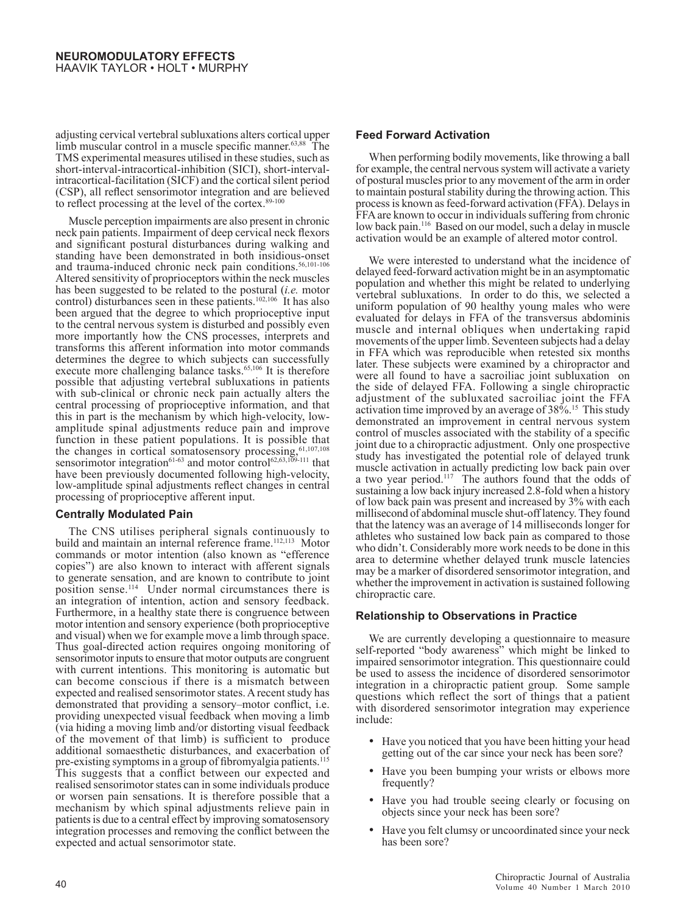adjusting cervical vertebral subluxations alters cortical upper limb muscular control in a muscle specific manner.<sup>63,88</sup> The TMS experimental measures utilised in these studies, such as short-interval-intracortical-inhibition (SICI), short-intervalintracortical-facilitation (SICF) and the cortical silent period (CSP), all reflect sensorimotor integration and are believed to reflect processing at the level of the cortex.<sup>89-100</sup>

Muscle perception impairments are also present in chronic neck pain patients. Impairment of deep cervical neck flexors and significant postural disturbances during walking and standing have been demonstrated in both insidious-onset and trauma-induced chronic neck pain conditions.<sup>56,101-106</sup> Altered sensitivity of proprioceptors within the neck muscles has been suggested to be related to the postural (*i.e.* motor control) disturbances seen in these patients.<sup>102,106</sup> It has also been argued that the degree to which proprioceptive input to the central nervous system is disturbed and possibly even more importantly how the CNS processes, interprets and transforms this afferent information into motor commands determines the degree to which subjects can successfully execute more challenging balance tasks.<sup>65,106</sup> It is therefore possible that adjusting vertebral subluxations in patients with sub-clinical or chronic neck pain actually alters the central processing of proprioceptive information, and that this in part is the mechanism by which high-velocity, lowamplitude spinal adjustments reduce pain and improve function in these patient populations. It is possible that the changes in cortical somatosensory processing, <sup>61,107,108</sup> sensorimotor integration<sup>61-63</sup> and motor control<sup>62,63,109-111</sup> that have been previously documented following high-velocity, low-amplitude spinal adjustments reflect changes in central processing of proprioceptive afferent input.

## **Centrally Modulated Pain**

The CNS utilises peripheral signals continuously to build and maintain an internal reference frame.<sup>112,113</sup> Motor commands or motor intention (also known as "efference copies") are also known to interact with afferent signals to generate sensation, and are known to contribute to joint position sense.114 Under normal circumstances there is an integration of intention, action and sensory feedback. Furthermore, in a healthy state there is congruence between motor intention and sensory experience (both proprioceptive and visual) when we for example move a limb through space. Thus goal-directed action requires ongoing monitoring of sensorimotor inputs to ensure that motor outputs are congruent with current intentions. This monitoring is automatic but can become conscious if there is a mismatch between expected and realised sensorimotor states. A recent study has demonstrated that providing a sensory–motor conflict, i.e. providing unexpected visual feedback when moving a limb (via hiding a moving limb and/or distorting visual feedback of the movement of that limb) is sufficient to produce additional somaesthetic disturbances, and exacerbation of pre-existing symptoms in a group of fibromyalgia patients.<sup>115</sup> This suggests that a conflict between our expected and realised sensorimotor states can in some individuals produce or worsen pain sensations. It is therefore possible that a mechanism by which spinal adjustments relieve pain in patients is due to a central effect by improving somatosensory integration processes and removing the conflict between the expected and actual sensorimotor state.

## **Feed Forward Activation**

When performing bodily movements, like throwing a ball for example, the central nervous system will activate a variety of postural muscles prior to any movement of the arm in order to maintain postural stability during the throwing action. This process is known as feed-forward activation (FFA). Delays in FFA are known to occur in individuals suffering from chronic low back pain.<sup>116</sup> Based on our model, such a delay in muscle activation would be an example of altered motor control.

We were interested to understand what the incidence of delayed feed-forward activation might be in an asymptomatic population and whether this might be related to underlying vertebral subluxations. In order to do this, we selected a uniform population of 90 healthy young males who were evaluated for delays in FFA of the transversus abdominis muscle and internal obliques when undertaking rapid movements of the upper limb. Seventeen subjects had a delay in FFA which was reproducible when retested six months later. These subjects were examined by a chiropractor and were all found to have a sacroiliac joint subluxation on the side of delayed FFA. Following a single chiropractic adjustment of the subluxated sacroiliac joint the FFA activation time improved by an average of 38%.15 This study demonstrated an improvement in central nervous system control of muscles associated with the stability of a specific joint due to a chiropractic adjustment. Only one prospective study has investigated the potential role of delayed trunk muscle activation in actually predicting low back pain over a two year period.<sup>117</sup> The authors found that the odds of sustaining a low back injury increased 2.8-fold when a history of low back pain was present and increased by 3% with each millisecond of abdominal muscle shut-off latency. They found that the latency was an average of 14 milliseconds longer for athletes who sustained low back pain as compared to those who didn't. Considerably more work needs to be done in this area to determine whether delayed trunk muscle latencies may be a marker of disordered sensorimotor integration, and whether the improvement in activation is sustained following chiropractic care.

## **Relationship to Observations in Practice**

We are currently developing a questionnaire to measure self-reported "body awareness" which might be linked to impaired sensorimotor integration. This questionnaire could be used to assess the incidence of disordered sensorimotor integration in a chiropractic patient group. Some sample questions which reflect the sort of things that a patient with disordered sensorimotor integration may experience include:

- Have you noticed that you have been hitting your head getting out of the car since your neck has been sore?
- Have you been bumping your wrists or elbows more frequently?
- Have you had trouble seeing clearly or focusing on objects since your neck has been sore?
- Have you felt clumsy or uncoordinated since your neck has been sore?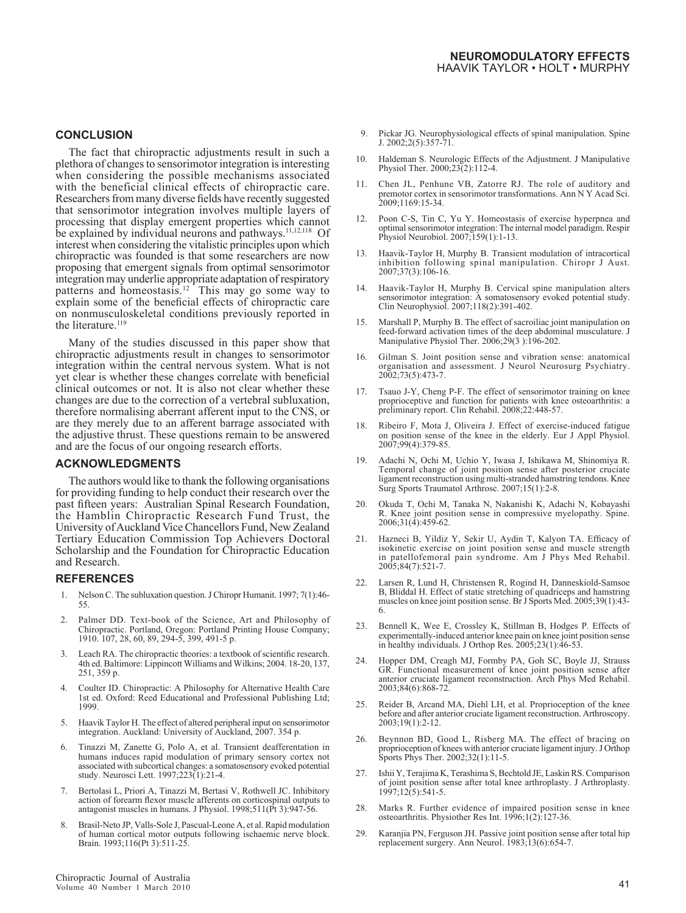## **CONCLUSION**

The fact that chiropractic adjustments result in such a plethora of changes to sensorimotor integration is interesting when considering the possible mechanisms associated with the beneficial clinical effects of chiropractic care. Researchers from many diverse fields have recently suggested that sensorimotor integration involves multiple layers of processing that display emergent properties which cannot be explained by individual neurons and pathways.<sup>11,12,118</sup> Of interest when considering the vitalistic principles upon which chiropractic was founded is that some researchers are now proposing that emergent signals from optimal sensorimotor integration may underlie appropriate adaptation of respiratory patterns and homeostasis.12 This may go some way to explain some of the beneficial effects of chiropractic care on nonmusculoskeletal conditions previously reported in the literature.<sup>119</sup>

Many of the studies discussed in this paper show that chiropractic adjustments result in changes to sensorimotor integration within the central nervous system. What is not yet clear is whether these changes correlate with beneficial clinical outcomes or not. It is also not clear whether these changes are due to the correction of a vertebral subluxation, therefore normalising aberrant afferent input to the CNS, or are they merely due to an afferent barrage associated with the adjustive thrust. These questions remain to be answered and are the focus of our ongoing research efforts.

#### **ACKNOWLEDGMENTS**

The authors would like to thank the following organisations for providing funding to help conduct their research over the past fifteen years: Australian Spinal Research Foundation, the Hamblin Chiropractic Research Fund Trust, the University of Auckland Vice Chancellors Fund, New Zealand Tertiary Education Commission Top Achievers Doctoral Scholarship and the Foundation for Chiropractic Education and Research.

#### **REFERENCES**

- Nelson C. The subluxation question. J Chiropr Humanit. 1997; 7(1):46-55.
- Palmer DD. Text-book of the Science, Art and Philosophy of Chiropractic. Portland, Oregon: Portland Printing House Company; 1910. 107, 28, 60, 89, 294-5, 399, 491-5 p.
- Leach RA. The chiropractic theories: a textbook of scientific research. 4th ed. Baltimore: Lippincott Williams and Wilkins; 2004. 18-20, 137, 251, 359 p.
- 4. Coulter ID. Chiropractic: A Philosophy for Alternative Health Care 1st ed. Oxford: Reed Educational and Professional Publishing Ltd; 1999.
- 5. Haavik Taylor H. The effect of altered peripheral input on sensorimotor integration. Auckland: University of Auckland, 2007. 354 p.
- 6. Tinazzi M, Zanette G, Polo A, et al. Transient deafferentation in humans induces rapid modulation of primary sensory cortex not associated with subcortical changes: a somatosensory evoked potential study. Neurosci Lett. 1997;223(1):21-4.
- 7. Bertolasi L, Priori A, Tinazzi M, Bertasi V, Rothwell JC. Inhibitory action of forearm flexor muscle afferents on corticospinal outputs to antagonist muscles in humans. J Physiol. 1998;511(Pt 3):947-56.
- 8. Brasil-Neto JP, Valls-Sole J, Pascual-Leone A, et al. Rapid modulation of human cortical motor outputs following ischaemic nerve block. Brain. 1993;116(Pt 3):511-25.
- 9. Pickar JG. Neurophysiological effects of spinal manipulation. Spine J. 2002;2(5):357-71.
- 10. Haldeman S. Neurologic Effects of the Adjustment. J Manipulative Physiol Ther. 2000;23(2):112-4.
- 11. Chen JL, Penhune VB, Zatorre RJ. The role of auditory and premotor cortex in sensorimotor transformations. Ann N Y Acad Sci. 2009;1169:15-34.
- 12. Poon C-S, Tin C, Yu Y. Homeostasis of exercise hyperpnea and optimal sensorimotor integration: The internal model paradigm. Respir Physiol Neurobiol. 2007;159(1):1-13.
- 13. Haavik-Taylor H, Murphy B. Transient modulation of intracortical inhibition following spinal manipulation. Chiropr J Aust. 2007;37(3):106-16.
- 14. Haavik-Taylor H, Murphy B. Cervical spine manipulation alters sensorimotor integration: A somatosensory evoked potential study. Clin Neurophysiol. 2007;118(2):391-402.
- 15. Marshall P, Murphy B. The effect of sacroiliac joint manipulation on feed-forward activation times of the deep abdominal musculature. J Manipulative Physiol Ther. 2006;29(3 ):196-202.
- 16. Gilman S. Joint position sense and vibration sense: anatomical organisation and assessment. J Neurol Neurosurg Psychiatry. 2002;73(5):473-7.
- 17. Tsauo J-Y, Cheng P-F. The effect of sensorimotor training on knee proprioceptive and function for patients with knee osteoarthritis: a preliminary report. Clin Rehabil. 2008;22:448-57.
- 18. Ribeiro F, Mota J, Oliveira J. Effect of exercise-induced fatigue on position sense of the knee in the elderly. Eur J Appl Physiol. 2007;99(4):379-85.
- 19. Adachi N, Ochi M, Uchio Y, Iwasa J, Ishikawa M, Shinomiya R. Temporal change of joint position sense after posterior cruciate ligament reconstruction using multi-stranded hamstring tendons. Knee Surg Sports Traumatol Arthrosc. 2007;15(1):2-8.
- 20. Okuda T, Ochi M, Tanaka N, Nakanishi K, Adachi N, Kobayashi R. Knee joint position sense in compressive myelopathy. Spine. 2006;31(4):459-62.
- 21. Hazneci B, Yildiz Y, Sekir U, Aydin T, Kalyon TA. Efficacy of isokinetic exercise on joint position sense and muscle strength in patellofemoral pain syndrome. Am J Phys Med Rehabil. 2005;84(7):521-7.
- 22. Larsen R, Lund H, Christensen R, Rogind H, Danneskiold-Samsoe B, Bliddal H. Effect of static stretching of quadriceps and hamstring muscles on knee joint position sense. Br J Sports Med. 2005;39(1):43- 6.
- 23. Bennell K, Wee E, Crossley K, Stillman B, Hodges P. Effects of experimentally-induced anterior knee pain on knee joint position sense in healthy individuals. J Orthop Res. 2005;23(1):46-53.
- 24. Hopper DM, Creagh MJ, Formby PA, Goh SC, Boyle JJ, Strauss GR. Functional measurement of knee joint position sense after anterior cruciate ligament reconstruction. Arch Phys Med Rehabil. 2003;84(6):868-72.
- 25. Reider B, Arcand MA, Diehl LH, et al. Proprioception of the knee before and after anterior cruciate ligament reconstruction. Arthroscopy. 2003;19(1):2-12.
- 26. Beynnon BD, Good L, Risberg MA. The effect of bracing on proprioception of knees with anterior cruciate ligament injury. J Orthop Sports Phys Ther. 2002;32(1):11-5.
- 27. Ishii Y, Terajima K, Terashima S, Bechtold JE, Laskin RS. Comparison of joint position sense after total knee arthroplasty. J Arthroplasty. 1997;12(5):541-5.
- 28. Marks R. Further evidence of impaired position sense in knee osteoarthritis. Physiother Res Int. 1996;1(2):127-36.
- 29. Karanjia PN, Ferguson JH. Passive joint position sense after total hip replacement surgery. Ann Neurol. 1983;13(6):654-7.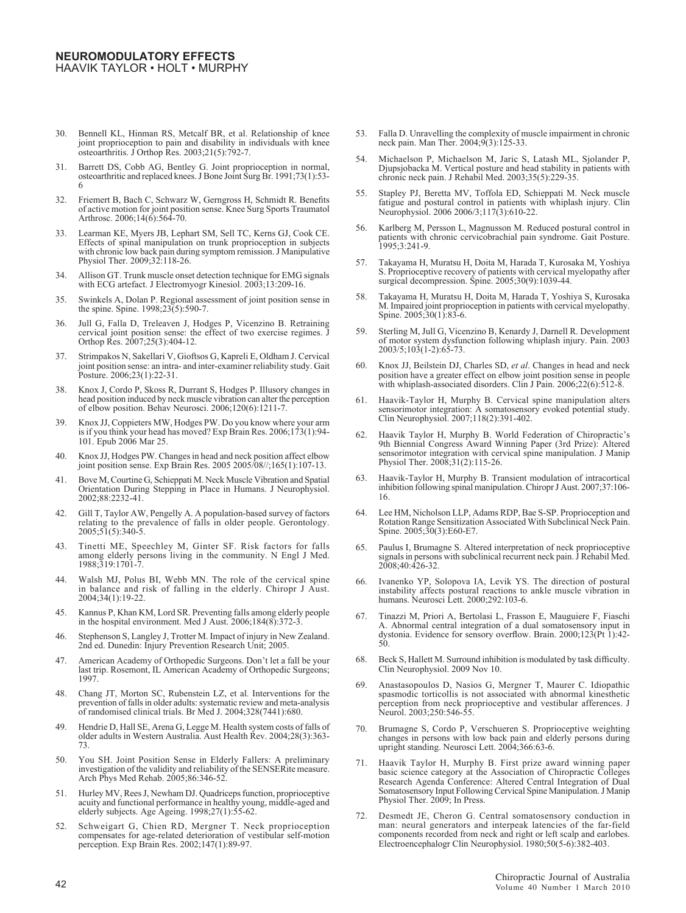- 30. Bennell KL, Hinman RS, Metcalf BR, et al. Relationship of knee joint proprioception to pain and disability in individuals with knee osteoarthritis. J Orthop Res. 2003;21(5):792-7.
- 31. Barrett DS, Cobb AG, Bentley G. Joint proprioception in normal, osteoarthritic and replaced knees. J Bone Joint Surg Br. 1991;73(1):53- 6
- 32. Friemert B, Bach C, Schwarz W, Gerngross H, Schmidt R. Benefits of active motion for joint position sense. Knee Surg Sports Traumatol Arthrosc. 2006;14(6):564-70.
- 33. Learman KE, Myers JB, Lephart SM, Sell TC, Kerns GJ, Cook CE. Effects of spinal manipulation on trunk proprioception in subjects with chronic low back pain during symptom remission. J Manipulative Physiol Ther. 2009;32:118-26.
- 34. Allison GT. Trunk muscle onset detection technique for EMG signals with ECG artefact. J Electromyogr Kinesiol. 2003;13:209-16.
- 35. Swinkels A, Dolan P. Regional assessment of joint position sense in the spine. Spine. 1998;23(5):590-7.
- 36. Jull G, Falla D, Treleaven J, Hodges P, Vicenzino B. Retraining cervical joint position sense: the effect of two exercise regimes. J Orthop Res. 2007;25(3):404-12.
- 37. Strimpakos N, Sakellari V, Gioftsos G, Kapreli E, Oldham J. Cervical joint position sense: an intra- and inter-examiner reliability study. Gait Posture. 2006;23(1):22-31.
- 38. Knox J, Cordo P, Skoss R, Durrant S, Hodges P. Illusory changes in head position induced by neck muscle vibration can alter the perception of elbow position. Behav Neurosci. 2006;120(6):1211-7.
- 39. Knox JJ, Coppieters MW, Hodges PW. Do you know where your arm is if you think your head has moved? Exp Brain Res. 2006;173(1):94- 101. Epub 2006 Mar 25.
- 40. Knox JJ, Hodges PW. Changes in head and neck position affect elbow joint position sense. Exp Brain Res. 2005 2005/08//;165(1):107-13.
- 41. Bove M, Courtine G, Schieppati M. Neck Muscle Vibration and Spatial Orientation During Stepping in Place in Humans. J Neurophysiol. 2002;88:2232-41.
- 42. Gill T, Taylor AW, Pengelly A. A population-based survey of factors relating to the prevalence of falls in older people. Gerontology.  $2005;51(5):340-5$ .
- 43. Tinetti ME, Speechley M, Ginter SF. Risk factors for falls among elderly persons living in the community. N Engl J Med. 1988;319:1701-7.
- 44. Walsh MJ, Polus BI, Webb MN. The role of the cervical spine in balance and risk of falling in the elderly. Chiropr J Aust. 2004;34(1):19-22.
- 45. Kannus P, Khan KM, Lord SR. Preventing falls among elderly people in the hospital environment. Med J Aust. 2006;184(8):372-3.
- 46. Stephenson S, Langley J, Trotter M. Impact of injury in New Zealand. 2nd ed. Dunedin: Injury Prevention Research Unit; 2005.
- 47. American Academy of Orthopedic Surgeons. Don't let a fall be your last trip. Rosemont, IL American Academy of Orthopedic Surgeons; 1997.
- 48. Chang JT, Morton SC, Rubenstein LZ, et al. Interventions for the prevention of falls in older adults: systematic review and meta-analysis of randomised clinical trials. Br Med J. 2004;328(7441):680.
- 49. Hendrie D, Hall SE, Arena G, Legge M. Health system costs of falls of older adults in Western Australia. Aust Health Rev. 2004;28(3):363- 73.
- 50. You SH. Joint Position Sense in Elderly Fallers: A preliminary investigation of the validity and reliability of the SENSERite measure. Arch Phys Med Rehab. 2005;86:346-52
- 51. Hurley MV, Rees J, Newham DJ. Quadriceps function, proprioceptive acuity and functional performance in healthy young, middle-aged and elderly subjects. Age Ageing. 1998;27(1):55-62.
- 52. Schweigart G, Chien RD, Mergner T. Neck proprioception compensates for age-related deterioration of vestibular self-motion perception. Exp Brain Res. 2002;147(1):89-97.
- 53. Falla D. Unravelling the complexity of muscle impairment in chronic neck pain. Man Ther. 2004;9(3):125-33.
- 54. Michaelson P, Michaelson M, Jaric S, Latash ML, Sjolander P, Djupsjobacka M. Vertical posture and head stability in patients with chronic neck pain. J Rehabil Med. 2003;35(5):229-35.
- 55. Stapley PJ, Beretta MV, Toffola ED, Schieppati M. Neck muscle fatigue and postural control in patients with whiplash injury. Clin Neurophysiol. 2006 2006/3;117(3):610-22.
- 56. Karlberg M, Persson L, Magnusson M. Reduced postural control in patients with chronic cervicobrachial pain syndrome. Gait Posture. 1995;3:241-9.
- 57. Takayama H, Muratsu H, Doita M, Harada T, Kurosaka M, Yoshiya S. Proprioceptive recovery of patients with cervical myelopathy after surgical decompression. Spine. 2005;30(9):1039-44.
- 58. Takayama H, Muratsu H, Doita M, Harada T, Yoshiya S, Kurosaka M. Impaired joint proprioception in patients with cervical myelopathy. Spine. 2005;30(1):83-6.
- 59. Sterling M, Jull G, Vicenzino B, Kenardy J, Darnell R. Development of motor system dysfunction following whiplash injury. Pain. 2003 2003/5;103(1-2):65-73.
- 60. Knox JJ, Beilstein DJ, Charles SD, *et al*. Changes in head and neck position have a greater effect on elbow joint position sense in people with whiplash-associated disorders. Clin J Pain. 2006;22(6):512-8.
- 61. Haavik-Taylor H, Murphy B. Cervical spine manipulation alters sensorimotor integration: A somatosensory evoked potential study. Clin Neurophysiol. 2007;118(2):391-402.
- 62. Haavik Taylor H, Murphy B. World Federation of Chiropractic's 9th Biennial Congress Award Winning Paper (3rd Prize): Altered sensorimotor integration with cervical spine manipulation. J Manip Physiol Ther. 2008;31(2):115-26.
- 63. Haavik-Taylor H, Murphy B. Transient modulation of intracortical inhibition following spinal manipulation. Chiropr J Aust. 2007;37:106- 16.
- 64. Lee HM, Nicholson LLP, Adams RDP, Bae S-SP. Proprioception and Rotation Range Sensitization Associated With Subclinical Neck Pain. Spine. 2005;30(3):E60-E7.
- Paulus I, Brumagne S. Altered interpretation of neck proprioceptive signals in persons with subclinical recurrent neck pain. J Rehabil Med. 2008;40:426-32.
- 66. Ivanenko YP, Solopova IA, Levik YS. The direction of postural instability affects postural reactions to ankle muscle vibration in humans. Neurosci Lett. 2000;292:103-6.
- 67. Tinazzi M, Priori A, Bertolasi L, Frasson E, Mauguiere F, Fiaschi A. Abnormal central integration of a dual somatosensory input in dystonia. Evidence for sensory overflow. Brain. 2000;123(Pt 1):42- 50.
- Beck S, Hallett M. Surround inhibition is modulated by task difficulty. Clin Neurophysiol. 2009 Nov 10.
- 69. Anastasopoulos D, Nasios G, Mergner T, Maurer C. Idiopathic spasmodic torticollis is not associated with abnormal kinesthetic perception from neck proprioceptive and vestibular afferences. J Neurol. 2003;250:546-55.
- 70. Brumagne S, Cordo P, Verschueren S. Proprioceptive weighting changes in persons with low back pain and elderly persons during upright standing. Neurosci Lett. 2004;366:63-6.
- Haavik Taylor H, Murphy B. First prize award winning paper basic science category at the Association of Chiropractic Colleges Research Agenda Conference: Altered Central Integration of Dual Somatosensory Input Following Cervical Spine Manipulation. J Manip Physiol Ther. 2009; In Press.
- 72. Desmedt JE, Cheron G. Central somatosensory conduction in man: neural generators and interpeak latencies of the far-field components recorded from neck and right or left scalp and earlobes. Electroencephalogr Clin Neurophysiol. 1980;50(5-6):382-403.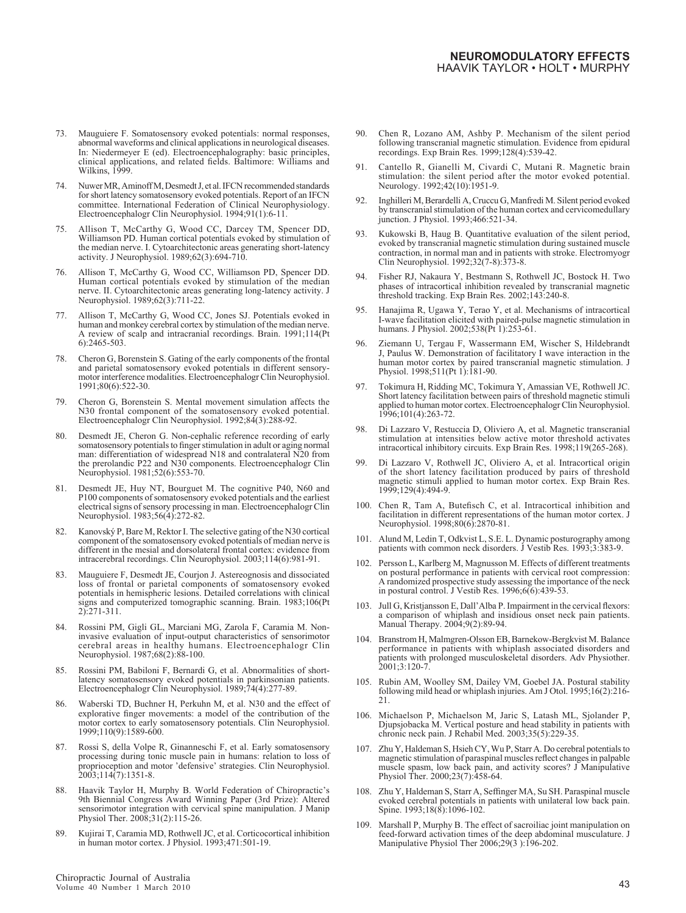- 73. Mauguiere F. Somatosensory evoked potentials: normal responses, abnormal waveforms and clinical applications in neurological diseases. In: Niedermeyer E (ed). Electroencephalography: basic principles, clinical applications, and related fields. Baltimore: Williams and Wilkins, 1999.
- 74. Nuwer MR, Aminoff M, Desmedt J, et al. IFCN recommended standards for short latency somatosensory evoked potentials. Report of an IFCN committee. International Federation of Clinical Neurophysiology. Electroencephalogr Clin Neurophysiol. 1994;91(1):6-11.
- 75. Allison T, McCarthy G, Wood CC, Darcey TM, Spencer DD, Williamson PD. Human cortical potentials evoked by stimulation of the median nerve. I. Cytoarchitectonic areas generating short-latency activity. J Neurophysiol. 1989;62(3):694-710.
- 76. Allison T, McCarthy G, Wood CC, Williamson PD, Spencer DD. Human cortical potentials evoked by stimulation of the median nerve. II. Cytoarchitectonic areas generating long-latency activity. J Neurophysiol. 1989;62(3):711-22.
- 77. Allison T, McCarthy G, Wood CC, Jones SJ. Potentials evoked in human and monkey cerebral cortex by stimulation of the median nerve. A review of scalp and intracranial recordings. Brain. 1991;114(Pt 6):2465-503.
- 78. Cheron G, Borenstein S. Gating of the early components of the frontal and parietal somatosensory evoked potentials in different sensorymotor interference modalities. Electroencephalogr Clin Neurophysiol. 1991;80(6):522-30.
- 79. Cheron G, Borenstein S. Mental movement simulation affects the N30 frontal component of the somatosensory evoked potential. Electroencephalogr Clin Neurophysiol. 1992;84(3):288-92.
- 80. Desmedt JE, Cheron G. Non-cephalic reference recording of early somatosensory potentials to finger stimulation in adult or aging normal man: differentiation of widespread N18 and contralateral N20 from the prerolandic P22 and N30 components. Electroencephalogr Clin Neurophysiol. 1981;52(6):553-70.
- 81. Desmedt JE, Huy NT, Bourguet M. The cognitive P40, N60 and P100 components of somatosensory evoked potentials and the earliest electrical signs of sensory processing in man. Electroencephalogr Clin Neurophysiol. 1983;56(4):272-82.
- 82. Kanovský P, Bare M, Rektor I. The selective gating of the N30 cortical component of the somatosensory evoked potentials of median nerve is different in the mesial and dorsolateral frontal cortex: evidence from intracerebral recordings. Clin Neurophysiol. 2003;114(6):981-91.
- 83. Mauguiere F, Desmedt JE, Courjon J. Astereognosis and dissociated loss of frontal or parietal components of somatosensory evoked potentials in hemispheric lesions. Detailed correlations with clinical signs and computerized tomographic scanning. Brain. 1983;106(Pt 2):271-311.
- 84. Rossini PM, Gigli GL, Marciani MG, Zarola F, Caramia M. Noninvasive evaluation of input-output characteristics of sensorimotor cerebral areas in healthy humans. Electroencephalogr Clin Neurophysiol. 1987;68(2):88-100.
- 85. Rossini PM, Babiloni F, Bernardi G, et al. Abnormalities of shortlatency somatosensory evoked potentials in parkinsonian patients. Electroencephalogr Clin Neurophysiol. 1989;74(4):277-89.
- 86. Waberski TD, Buchner H, Perkuhn M, et al. N30 and the effect of explorative finger movements: a model of the contribution of the motor cortex to early somatosensory potentials. Clin Neurophysiol. 1999;110(9):1589-600.
- 87. Rossi S, della Volpe R, Ginanneschi F, et al. Early somatosensory processing during tonic muscle pain in humans: relation to loss of proprioception and motor 'defensive' strategies. Clin Neurophysiol. 2003;114(7):1351-8.
- 88. Haavik Taylor H, Murphy B. World Federation of Chiropractic's 9th Biennial Congress Award Winning Paper (3rd Prize): Altered sensorimotor integration with cervical spine manipulation. J Manip Physiol Ther. 2008;31(2):115-26.
- 89. Kujirai T, Caramia MD, Rothwell JC, et al. Corticocortical inhibition in human motor cortex. J Physiol. 1993;471:501-19.
- 90. Chen R, Lozano AM, Ashby P. Mechanism of the silent period following transcranial magnetic stimulation. Evidence from epidural recordings. Exp Brain Res. 1999;128(4):539-42.
- 91. Cantello R, Gianelli M, Civardi C, Mutani R. Magnetic brain stimulation: the silent period after the motor evoked potential. Neurology. 1992;42(10):1951-9.
- 92. Inghilleri M, Berardelli A, Cruccu G, Manfredi M. Silent period evoked by transcranial stimulation of the human cortex and cervicomedullary junction. J Physiol. 1993;466:521-34.
- Kukowski B, Haug B. Quantitative evaluation of the silent period, evoked by transcranial magnetic stimulation during sustained muscle contraction, in normal man and in patients with stroke. Electromyogr Clin Neurophysiol. 1992;32(7-8):373-8.
- 94. Fisher RJ, Nakaura Y, Bestmann S, Rothwell JC, Bostock H. Two phases of intracortical inhibition revealed by transcranial magnetic threshold tracking. Exp Brain Res. 2002;143:240-8.
- 95. Hanajima R, Ugawa Y, Terao Y, et al. Mechanisms of intracortical I-wave facilitation elicited with paired-pulse magnetic stimulation in humans. J Physiol. 2002;538(Pt<sup>1</sup>1):253-61.
- 96. Ziemann U, Tergau F, Wassermann EM, Wischer S, Hildebrandt J, Paulus W. Demonstration of facilitatory I wave interaction in the human motor cortex by paired transcranial magnetic stimulation. J Physiol. 1998;511(Pt 1):181-90.
- 97. Tokimura H, Ridding MC, Tokimura Y, Amassian VE, Rothwell JC. Short latency facilitation between pairs of threshold magnetic stimuli applied to human motor cortex. Electroencephalogr Clin Neurophysiol. 1996;101(4):263-72.
- 98. Di Lazzaro V, Restuccia D, Oliviero A, et al. Magnetic transcranial stimulation at intensities below active motor threshold activates intracortical inhibitory circuits. Exp Brain Res. 1998;119(265-268).
- 99. Di Lazzaro V, Rothwell JC, Oliviero A, et al. Intracortical origin of the short latency facilitation produced by pairs of threshold magnetic stimuli applied to human motor cortex. Exp Brain Res. 1999;129(4):494-9.
- 100. Chen R, Tam A, Butefisch C, et al. Intracortical inhibition and facilitation in different representations of the human motor cortex. J Neurophysiol. 1998;80(6):2870-81.
- 101. Alund M, Ledin T, Odkvist L, S.E. L. Dynamic posturography among patients with common neck disorders. J Vestib Res. 1993;3:383-9.
- 102. Persson L, Karlberg M, Magnusson M. Effects of different treatments on postural performance in patients with cervical root compression: A randomized prospective study assessing the importance of the neck in postural control. J Vestib Res. 1996;6(6):439-53.
- 103. Jull G, Kristjansson E, Dall'Alba P. Impairment in the cervical flexors: a comparison of whiplash and insidious onset neck pain patients. Manual Therapy. 2004;9(2):89-94.
- 104. Branstrom H, Malmgren-Olsson EB, Barnekow-Bergkvist M. Balance performance in patients with whiplash associated disorders and patients with prolonged musculoskeletal disorders. Adv Physiother. 2001;3:120-7.
- 105. Rubin AM, Woolley SM, Dailey VM, Goebel JA. Postural stability following mild head or whiplash injuries. Am J Otol. 1995;16(2):216- 21.
- 106. Michaelson P, Michaelson M, Jaric S, Latash ML, Sjolander P, Djupsjobacka M. Vertical posture and head stability in patients with chronic neck pain. J Rehabil Med. 2003;35(5):229-35.
- 107. Zhu Y, Haldeman S, Hsieh CY, Wu P, Starr A. Do cerebral potentials to magnetic stimulation of paraspinal muscles reflect changes in palpable muscle spasm, low back pain, and activity scores? J Manipulative Physiol Ther. 2000;23(7):458-64.
- 108. Zhu Y, Haldeman S, Starr A, Seffinger MA, Su SH. Paraspinal muscle evoked cerebral potentials in patients with unilateral low back pain. Spine. 1993;18(8):1096-102.
- 109. Marshall P, Murphy B. The effect of sacroiliac joint manipulation on feed-forward activation times of the deep abdominal musculature. J Manipulative Physiol Ther 2006;29(3 ):196-202.